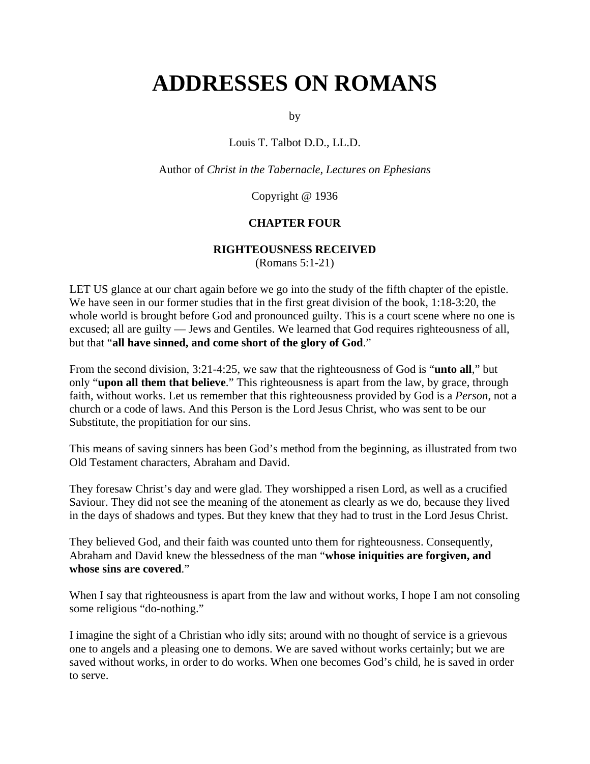# **ADDRESSES ON ROMANS**

by

Louis T. Talbot D.D., LL.D.

Author of *Christ in the Tabernacle, Lectures on Ephesians*

Copyright @ 1936

## **CHAPTER FOUR**

#### **RIGHTEOUSNESS RECEIVED**

(Romans 5:1-21)

LET US glance at our chart again before we go into the study of the fifth chapter of the epistle. We have seen in our former studies that in the first great division of the book, 1:18-3:20, the whole world is brought before God and pronounced guilty. This is a court scene where no one is excused; all are guilty — Jews and Gentiles. We learned that God requires righteousness of all, but that "**all have sinned, and come short of the glory of God**."

From the second division, 3:21-4:25, we saw that the righteousness of God is "**unto all**," but only "**upon all them that believe**." This righteousness is apart from the law, by grace, through faith, without works. Let us remember that this righteousness provided by God is a *Person*, not a church or a code of laws. And this Person is the Lord Jesus Christ, who was sent to be our Substitute, the propitiation for our sins.

This means of saving sinners has been God's method from the beginning, as illustrated from two Old Testament characters, Abraham and David.

They foresaw Christ's day and were glad. They worshipped a risen Lord, as well as a crucified Saviour. They did not see the meaning of the atonement as clearly as we do, because they lived in the days of shadows and types. But they knew that they had to trust in the Lord Jesus Christ.

They believed God, and their faith was counted unto them for righteousness. Consequently, Abraham and David knew the blessedness of the man "**whose iniquities are forgiven, and whose sins are covered**."

When I say that righteousness is apart from the law and without works, I hope I am not consoling some religious "do-nothing."

I imagine the sight of a Christian who idly sits; around with no thought of service is a grievous one to angels and a pleasing one to demons. We are saved without works certainly; but we are saved without works, in order to do works. When one becomes God's child, he is saved in order to serve.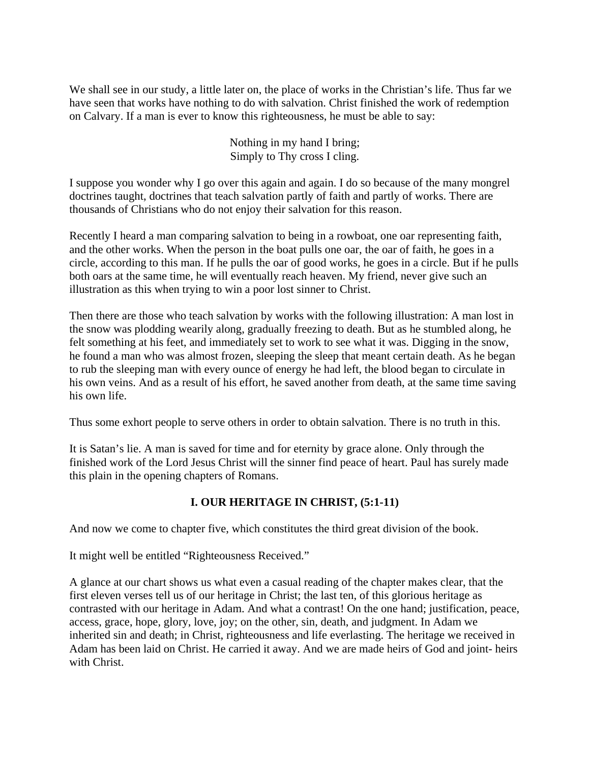We shall see in our study, a little later on, the place of works in the Christian's life. Thus far we have seen that works have nothing to do with salvation. Christ finished the work of redemption on Calvary. If a man is ever to know this righteousness, he must be able to say:

> Nothing in my hand I bring; Simply to Thy cross I cling.

I suppose you wonder why I go over this again and again. I do so because of the many mongrel doctrines taught, doctrines that teach salvation partly of faith and partly of works. There are thousands of Christians who do not enjoy their salvation for this reason.

Recently I heard a man comparing salvation to being in a rowboat, one oar representing faith, and the other works. When the person in the boat pulls one oar, the oar of faith, he goes in a circle, according to this man. If he pulls the oar of good works, he goes in a circle. But if he pulls both oars at the same time, he will eventually reach heaven. My friend, never give such an illustration as this when trying to win a poor lost sinner to Christ.

Then there are those who teach salvation by works with the following illustration: A man lost in the snow was plodding wearily along, gradually freezing to death. But as he stumbled along, he felt something at his feet, and immediately set to work to see what it was. Digging in the snow, he found a man who was almost frozen, sleeping the sleep that meant certain death. As he began to rub the sleeping man with every ounce of energy he had left, the blood began to circulate in his own veins. And as a result of his effort, he saved another from death, at the same time saving his own life.

Thus some exhort people to serve others in order to obtain salvation. There is no truth in this.

It is Satan's lie. A man is saved for time and for eternity by grace alone. Only through the finished work of the Lord Jesus Christ will the sinner find peace of heart. Paul has surely made this plain in the opening chapters of Romans.

# **I. OUR HERITAGE IN CHRIST, (5:1-11)**

And now we come to chapter five, which constitutes the third great division of the book.

It might well be entitled "Righteousness Received."

A glance at our chart shows us what even a casual reading of the chapter makes clear, that the first eleven verses tell us of our heritage in Christ; the last ten, of this glorious heritage as contrasted with our heritage in Adam. And what a contrast! On the one hand; justification, peace, access, grace, hope, glory, love, joy; on the other, sin, death, and judgment. In Adam we inherited sin and death; in Christ, righteousness and life everlasting. The heritage we received in Adam has been laid on Christ. He carried it away. And we are made heirs of God and joint- heirs with Christ.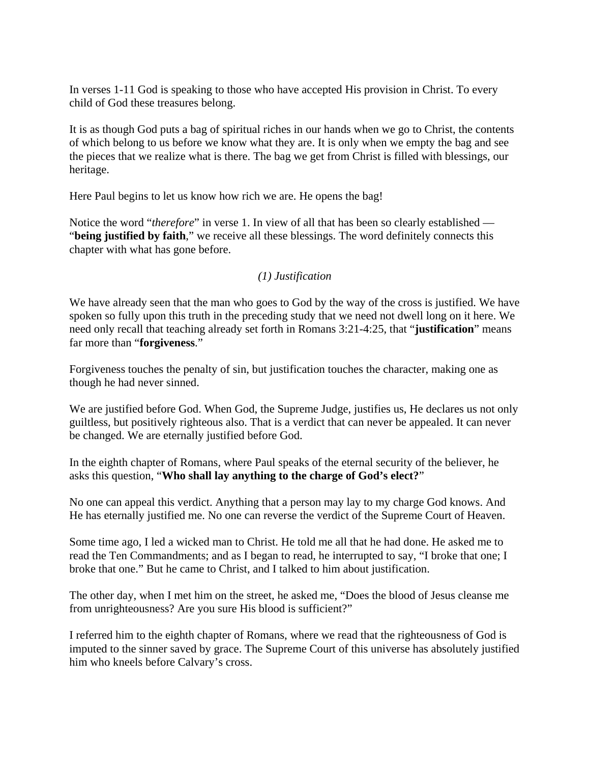In verses 1-11 God is speaking to those who have accepted His provision in Christ. To every child of God these treasures belong.

It is as though God puts a bag of spiritual riches in our hands when we go to Christ, the contents of which belong to us before we know what they are. It is only when we empty the bag and see the pieces that we realize what is there. The bag we get from Christ is filled with blessings, our heritage.

Here Paul begins to let us know how rich we are. He opens the bag!

Notice the word "*therefore*" in verse 1. In view of all that has been so clearly established — "**being justified by faith**," we receive all these blessings. The word definitely connects this chapter with what has gone before.

## *(1) Justification*

We have already seen that the man who goes to God by the way of the cross is justified. We have spoken so fully upon this truth in the preceding study that we need not dwell long on it here. We need only recall that teaching already set forth in Romans 3:21-4:25, that "**justification**" means far more than "**forgiveness**."

Forgiveness touches the penalty of sin, but justification touches the character, making one as though he had never sinned.

We are justified before God. When God, the Supreme Judge, justifies us, He declares us not only guiltless, but positively righteous also. That is a verdict that can never be appealed. It can never be changed. We are eternally justified before God.

In the eighth chapter of Romans, where Paul speaks of the eternal security of the believer, he asks this question, "**Who shall lay anything to the charge of God's elect?**"

No one can appeal this verdict. Anything that a person may lay to my charge God knows. And He has eternally justified me. No one can reverse the verdict of the Supreme Court of Heaven.

Some time ago, I led a wicked man to Christ. He told me all that he had done. He asked me to read the Ten Commandments; and as I began to read, he interrupted to say, "I broke that one; I broke that one." But he came to Christ, and I talked to him about justification.

The other day, when I met him on the street, he asked me, "Does the blood of Jesus cleanse me from unrighteousness? Are you sure His blood is sufficient?"

I referred him to the eighth chapter of Romans, where we read that the righteousness of God is imputed to the sinner saved by grace. The Supreme Court of this universe has absolutely justified him who kneels before Calvary's cross.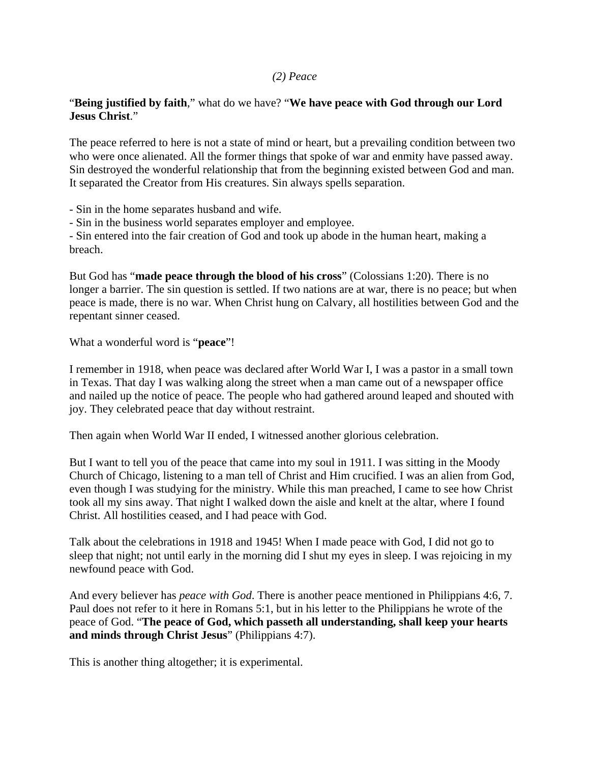## *(2) Peace*

## "**Being justified by faith**," what do we have? "**We have peace with God through our Lord Jesus Christ**."

The peace referred to here is not a state of mind or heart, but a prevailing condition between two who were once alienated. All the former things that spoke of war and enmity have passed away. Sin destroyed the wonderful relationship that from the beginning existed between God and man. It separated the Creator from His creatures. Sin always spells separation.

- Sin in the home separates husband and wife.

- Sin in the business world separates employer and employee.

- Sin entered into the fair creation of God and took up abode in the human heart, making a breach.

But God has "**made peace through the blood of his cross**" (Colossians 1:20). There is no longer a barrier. The sin question is settled. If two nations are at war, there is no peace; but when peace is made, there is no war. When Christ hung on Calvary, all hostilities between God and the repentant sinner ceased.

What a wonderful word is "**peace**"!

I remember in 1918, when peace was declared after World War I, I was a pastor in a small town in Texas. That day I was walking along the street when a man came out of a newspaper office and nailed up the notice of peace. The people who had gathered around leaped and shouted with joy. They celebrated peace that day without restraint.

Then again when World War II ended, I witnessed another glorious celebration.

But I want to tell you of the peace that came into my soul in 1911. I was sitting in the Moody Church of Chicago, listening to a man tell of Christ and Him crucified. I was an alien from God, even though I was studying for the ministry. While this man preached, I came to see how Christ took all my sins away. That night I walked down the aisle and knelt at the altar, where I found Christ. All hostilities ceased, and I had peace with God.

Talk about the celebrations in 1918 and 1945! When I made peace with God, I did not go to sleep that night; not until early in the morning did I shut my eyes in sleep. I was rejoicing in my newfound peace with God.

And every believer has *peace with God*. There is another peace mentioned in Philippians 4:6, 7. Paul does not refer to it here in Romans 5:1, but in his letter to the Philippians he wrote of the peace of God. "**The peace of God, which passeth all understanding, shall keep your hearts and minds through Christ Jesus**" (Philippians 4:7).

This is another thing altogether; it is experimental.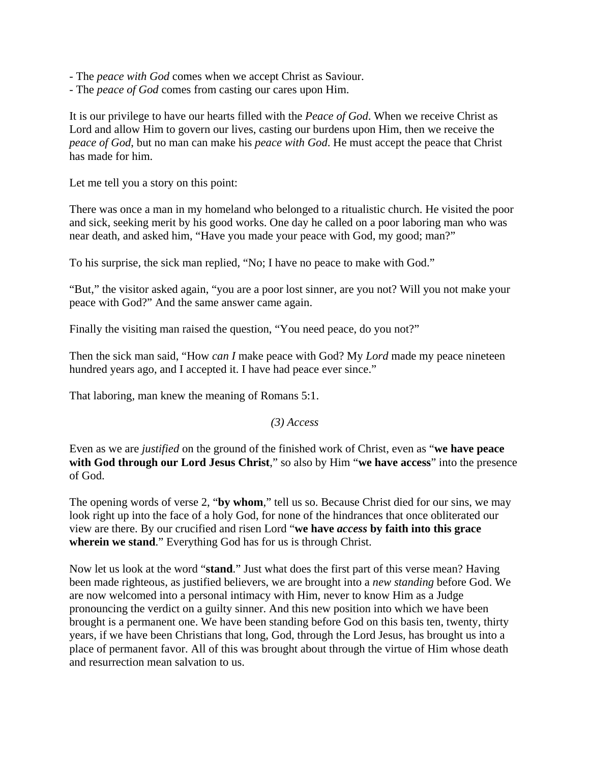- The *peace with God* comes when we accept Christ as Saviour.
- The *peace of God* comes from casting our cares upon Him.

It is our privilege to have our hearts filled with the *Peace of God*. When we receive Christ as Lord and allow Him to govern our lives, casting our burdens upon Him, then we receive the *peace of God*, but no man can make his *peace with God*. He must accept the peace that Christ has made for him.

Let me tell you a story on this point:

There was once a man in my homeland who belonged to a ritualistic church. He visited the poor and sick, seeking merit by his good works. One day he called on a poor laboring man who was near death, and asked him, "Have you made your peace with God, my good; man?"

To his surprise, the sick man replied, "No; I have no peace to make with God."

"But," the visitor asked again, "you are a poor lost sinner, are you not? Will you not make your peace with God?" And the same answer came again.

Finally the visiting man raised the question, "You need peace, do you not?"

Then the sick man said, "How *can I* make peace with God? My *Lord* made my peace nineteen hundred years ago, and I accepted it. I have had peace ever since."

That laboring, man knew the meaning of Romans 5:1.

#### *(3) Access*

Even as we are *justified* on the ground of the finished work of Christ, even as "**we have peace with God through our Lord Jesus Christ**," so also by Him "**we have access**" into the presence of God.

The opening words of verse 2, "**by whom**," tell us so. Because Christ died for our sins, we may look right up into the face of a holy God, for none of the hindrances that once obliterated our view are there. By our crucified and risen Lord "**we have** *access* **by faith into this grace wherein we stand**." Everything God has for us is through Christ.

Now let us look at the word "**stand**." Just what does the first part of this verse mean? Having been made righteous, as justified believers, we are brought into a *new standing* before God. We are now welcomed into a personal intimacy with Him, never to know Him as a Judge pronouncing the verdict on a guilty sinner. And this new position into which we have been brought is a permanent one. We have been standing before God on this basis ten, twenty, thirty years, if we have been Christians that long, God, through the Lord Jesus, has brought us into a place of permanent favor. All of this was brought about through the virtue of Him whose death and resurrection mean salvation to us.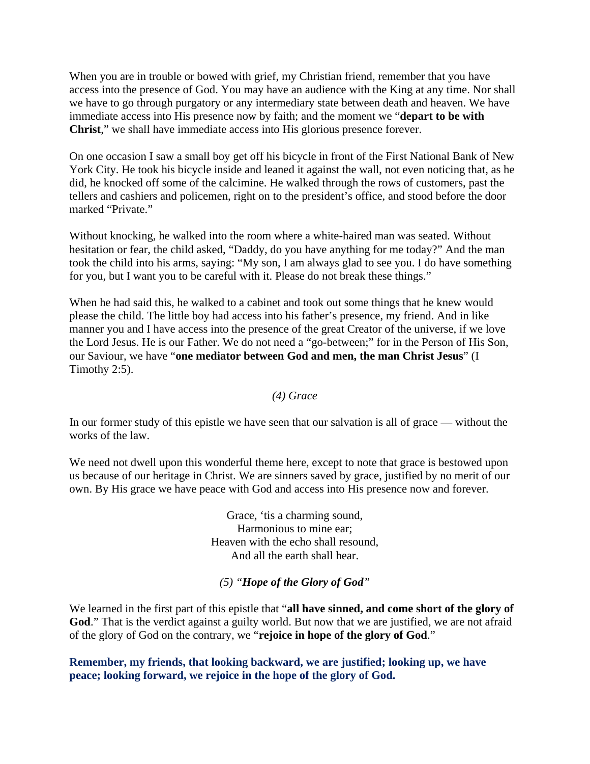When you are in trouble or bowed with grief, my Christian friend, remember that you have access into the presence of God. You may have an audience with the King at any time. Nor shall we have to go through purgatory or any intermediary state between death and heaven. We have immediate access into His presence now by faith; and the moment we "**depart to be with Christ**," we shall have immediate access into His glorious presence forever.

On one occasion I saw a small boy get off his bicycle in front of the First National Bank of New York City. He took his bicycle inside and leaned it against the wall, not even noticing that, as he did, he knocked off some of the calcimine. He walked through the rows of customers, past the tellers and cashiers and policemen, right on to the president's office, and stood before the door marked "Private."

Without knocking, he walked into the room where a white-haired man was seated. Without hesitation or fear, the child asked, "Daddy, do you have anything for me today?" And the man took the child into his arms, saying: "My son, I am always glad to see you. I do have something for you, but I want you to be careful with it. Please do not break these things."

When he had said this, he walked to a cabinet and took out some things that he knew would please the child. The little boy had access into his father's presence, my friend. And in like manner you and I have access into the presence of the great Creator of the universe, if we love the Lord Jesus. He is our Father. We do not need a "go-between;" for in the Person of His Son, our Saviour, we have "**one mediator between God and men, the man Christ Jesus**" (I Timothy 2:5).

#### *(4) Grace*

In our former study of this epistle we have seen that our salvation is all of grace — without the works of the law.

We need not dwell upon this wonderful theme here, except to note that grace is bestowed upon us because of our heritage in Christ. We are sinners saved by grace, justified by no merit of our own. By His grace we have peace with God and access into His presence now and forever.

> Grace, 'tis a charming sound, Harmonious to mine ear; Heaven with the echo shall resound, And all the earth shall hear.

#### *(5) "Hope of the Glory of God"*

We learned in the first part of this epistle that "**all have sinned, and come short of the glory of**  God." That is the verdict against a guilty world. But now that we are justified, we are not afraid of the glory of God on the contrary, we "**rejoice in hope of the glory of God**."

**Remember, my friends, that looking backward, we are justified; looking up, we have peace; looking forward, we rejoice in the hope of the glory of God.**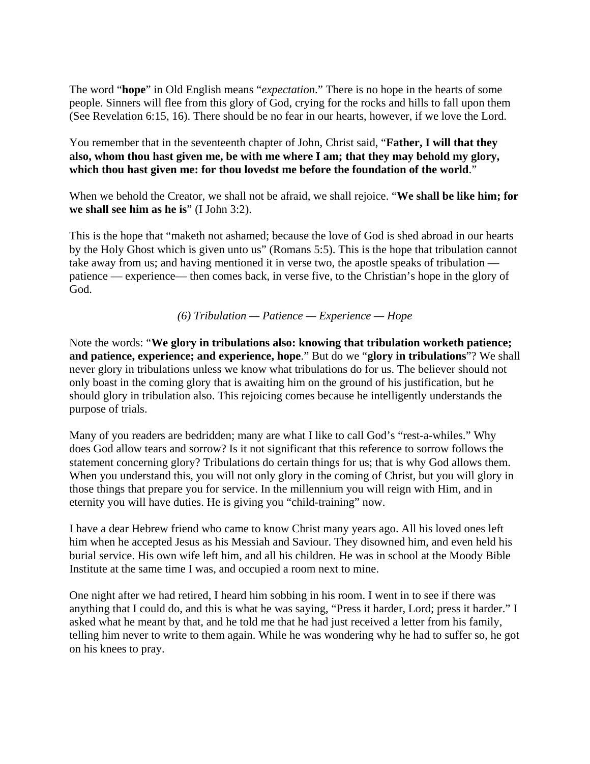The word "**hope**" in Old English means "*expectation*." There is no hope in the hearts of some people. Sinners will flee from this glory of God, crying for the rocks and hills to fall upon them (See Revelation 6:15, 16). There should be no fear in our hearts, however, if we love the Lord.

You remember that in the seventeenth chapter of John, Christ said, "**Father, I will that they also, whom thou hast given me, be with me where I am; that they may behold my glory, which thou hast given me: for thou lovedst me before the foundation of the world**."

When we behold the Creator, we shall not be afraid, we shall rejoice. "**We shall be like him; for we shall see him as he is**" (I John 3:2).

This is the hope that "maketh not ashamed; because the love of God is shed abroad in our hearts by the Holy Ghost which is given unto us" (Romans 5:5). This is the hope that tribulation cannot take away from us; and having mentioned it in verse two, the apostle speaks of tribulation patience — experience— then comes back, in verse five, to the Christian's hope in the glory of God.

*(6) Tribulation — Patience — Experience — Hope* 

Note the words: "**We glory in tribulations also: knowing that tribulation worketh patience; and patience, experience; and experience, hope**." But do we "**glory in tribulations**"? We shall never glory in tribulations unless we know what tribulations do for us. The believer should not only boast in the coming glory that is awaiting him on the ground of his justification, but he should glory in tribulation also. This rejoicing comes because he intelligently understands the purpose of trials.

Many of you readers are bedridden; many are what I like to call God's "rest-a-whiles." Why does God allow tears and sorrow? Is it not significant that this reference to sorrow follows the statement concerning glory? Tribulations do certain things for us; that is why God allows them. When you understand this, you will not only glory in the coming of Christ, but you will glory in those things that prepare you for service. In the millennium you will reign with Him, and in eternity you will have duties. He is giving you "child-training" now.

I have a dear Hebrew friend who came to know Christ many years ago. All his loved ones left him when he accepted Jesus as his Messiah and Saviour. They disowned him, and even held his burial service. His own wife left him, and all his children. He was in school at the Moody Bible Institute at the same time I was, and occupied a room next to mine.

One night after we had retired, I heard him sobbing in his room. I went in to see if there was anything that I could do, and this is what he was saying, "Press it harder, Lord; press it harder." I asked what he meant by that, and he told me that he had just received a letter from his family, telling him never to write to them again. While he was wondering why he had to suffer so, he got on his knees to pray.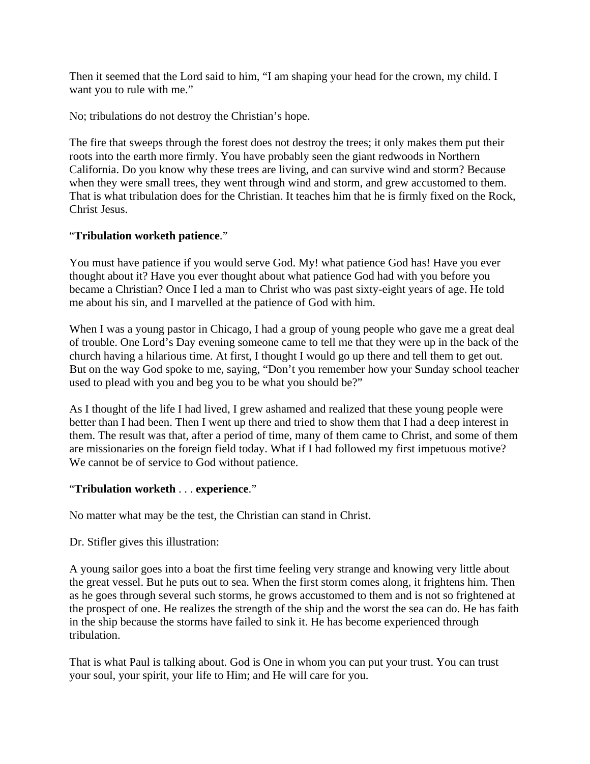Then it seemed that the Lord said to him, "I am shaping your head for the crown, my child. I want you to rule with me."

No; tribulations do not destroy the Christian's hope.

The fire that sweeps through the forest does not destroy the trees; it only makes them put their roots into the earth more firmly. You have probably seen the giant redwoods in Northern California. Do you know why these trees are living, and can survive wind and storm? Because when they were small trees, they went through wind and storm, and grew accustomed to them. That is what tribulation does for the Christian. It teaches him that he is firmly fixed on the Rock, Christ Jesus.

## "**Tribulation worketh patience**."

You must have patience if you would serve God. My! what patience God has! Have you ever thought about it? Have you ever thought about what patience God had with you before you became a Christian? Once I led a man to Christ who was past sixty-eight years of age. He told me about his sin, and I marvelled at the patience of God with him.

When I was a young pastor in Chicago, I had a group of young people who gave me a great deal of trouble. One Lord's Day evening someone came to tell me that they were up in the back of the church having a hilarious time. At first, I thought I would go up there and tell them to get out. But on the way God spoke to me, saying, "Don't you remember how your Sunday school teacher used to plead with you and beg you to be what you should be?"

As I thought of the life I had lived, I grew ashamed and realized that these young people were better than I had been. Then I went up there and tried to show them that I had a deep interest in them. The result was that, after a period of time, many of them came to Christ, and some of them are missionaries on the foreign field today. What if I had followed my first impetuous motive? We cannot be of service to God without patience.

#### "**Tribulation worketh** . . . **experience**."

No matter what may be the test, the Christian can stand in Christ.

Dr. Stifler gives this illustration:

A young sailor goes into a boat the first time feeling very strange and knowing very little about the great vessel. But he puts out to sea. When the first storm comes along, it frightens him. Then as he goes through several such storms, he grows accustomed to them and is not so frightened at the prospect of one. He realizes the strength of the ship and the worst the sea can do. He has faith in the ship because the storms have failed to sink it. He has become experienced through tribulation.

That is what Paul is talking about. God is One in whom you can put your trust. You can trust your soul, your spirit, your life to Him; and He will care for you.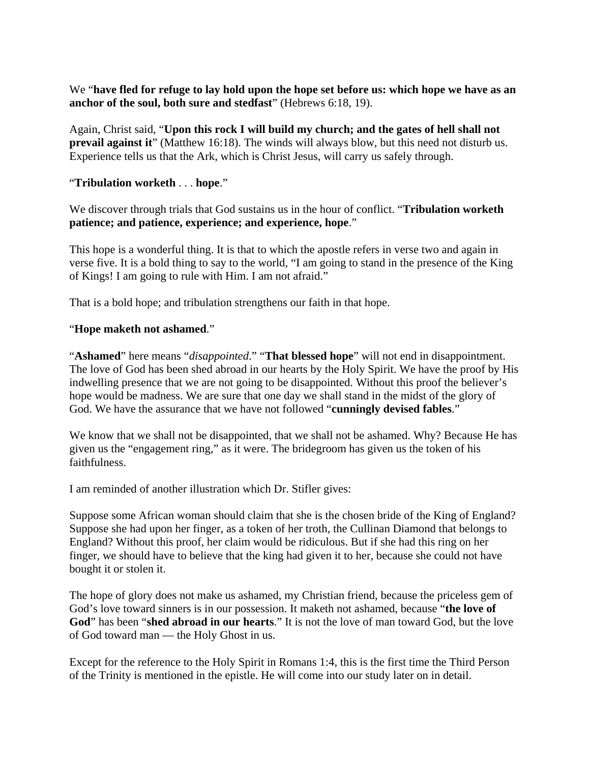We "**have fled for refuge to lay hold upon the hope set before us: which hope we have as an anchor of the soul, both sure and stedfast**" (Hebrews 6:18, 19).

Again, Christ said, "**Upon this rock I will build my church; and the gates of hell shall not prevail against it**" (Matthew 16:18). The winds will always blow, but this need not disturb us. Experience tells us that the Ark, which is Christ Jesus, will carry us safely through.

## "**Tribulation worketh** . . . **hope**."

We discover through trials that God sustains us in the hour of conflict. "**Tribulation worketh patience; and patience, experience; and experience, hope**."

This hope is a wonderful thing. It is that to which the apostle refers in verse two and again in verse five. It is a bold thing to say to the world, "I am going to stand in the presence of the King of Kings! I am going to rule with Him. I am not afraid."

That is a bold hope; and tribulation strengthens our faith in that hope.

#### "**Hope maketh not ashamed**."

"**Ashamed**" here means "*disappointed*." "**That blessed hope**" will not end in disappointment. The love of God has been shed abroad in our hearts by the Holy Spirit. We have the proof by His indwelling presence that we are not going to be disappointed. Without this proof the believer's hope would be madness. We are sure that one day we shall stand in the midst of the glory of God. We have the assurance that we have not followed "**cunningly devised fables**."

We know that we shall not be disappointed, that we shall not be ashamed. Why? Because He has given us the "engagement ring," as it were. The bridegroom has given us the token of his faithfulness.

I am reminded of another illustration which Dr. Stifler gives:

Suppose some African woman should claim that she is the chosen bride of the King of England? Suppose she had upon her finger, as a token of her troth, the Cullinan Diamond that belongs to England? Without this proof, her claim would be ridiculous. But if she had this ring on her finger, we should have to believe that the king had given it to her, because she could not have bought it or stolen it.

The hope of glory does not make us ashamed, my Christian friend, because the priceless gem of God's love toward sinners is in our possession. It maketh not ashamed, because "**the love of God**" has been "**shed abroad in our hearts**." It is not the love of man toward God, but the love of God toward man — the Holy Ghost in us.

Except for the reference to the Holy Spirit in Romans 1:4, this is the first time the Third Person of the Trinity is mentioned in the epistle. He will come into our study later on in detail.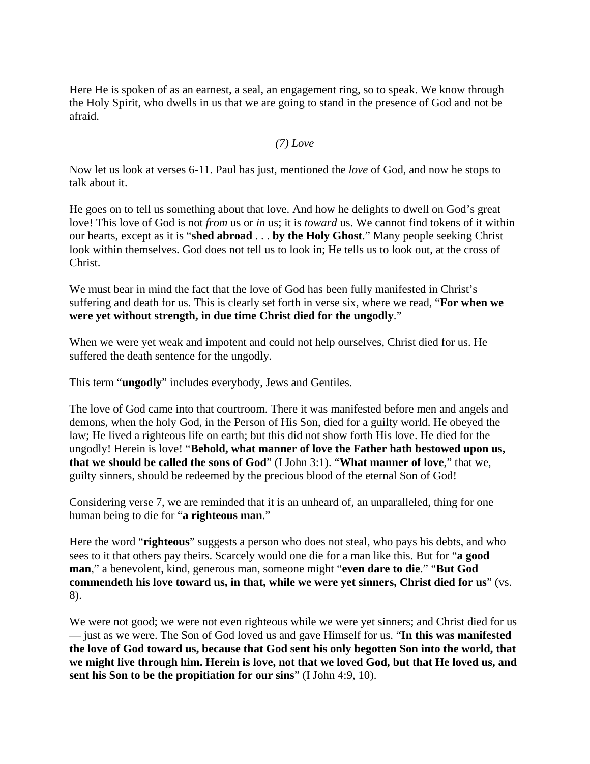Here He is spoken of as an earnest, a seal, an engagement ring, so to speak. We know through the Holy Spirit, who dwells in us that we are going to stand in the presence of God and not be afraid.

#### *(7) Love*

Now let us look at verses 6-11. Paul has just, mentioned the *love* of God, and now he stops to talk about it.

He goes on to tell us something about that love. And how he delights to dwell on God's great love! This love of God is not *from* us or *in* us; it is *toward* us. We cannot find tokens of it within our hearts, except as it is "**shed abroad** . . . **by the Holy Ghost**." Many people seeking Christ look within themselves. God does not tell us to look in; He tells us to look out, at the cross of Christ.

We must bear in mind the fact that the love of God has been fully manifested in Christ's suffering and death for us. This is clearly set forth in verse six, where we read, "**For when we were yet without strength, in due time Christ died for the ungodly**."

When we were yet weak and impotent and could not help ourselves, Christ died for us. He suffered the death sentence for the ungodly.

This term "**ungodly**" includes everybody, Jews and Gentiles.

The love of God came into that courtroom. There it was manifested before men and angels and demons, when the holy God, in the Person of His Son, died for a guilty world. He obeyed the law; He lived a righteous life on earth; but this did not show forth His love. He died for the ungodly! Herein is love! "**Behold, what manner of love the Father hath bestowed upon us, that we should be called the sons of God**" (I John 3:1). "**What manner of love**," that we, guilty sinners, should be redeemed by the precious blood of the eternal Son of God!

Considering verse 7, we are reminded that it is an unheard of, an unparalleled, thing for one human being to die for "**a righteous man**."

Here the word "**righteous**" suggests a person who does not steal, who pays his debts, and who sees to it that others pay theirs. Scarcely would one die for a man like this. But for "**a good man**," a benevolent, kind, generous man, someone might "**even dare to die**." "**But God commendeth his love toward us, in that, while we were yet sinners, Christ died for us**" (vs. 8).

We were not good; we were not even righteous while we were yet sinners; and Christ died for us — just as we were. The Son of God loved us and gave Himself for us. "**In this was manifested the love of God toward us, because that God sent his only begotten Son into the world, that we might live through him. Herein is love, not that we loved God, but that He loved us, and sent his Son to be the propitiation for our sins**" (I John 4:9, 10).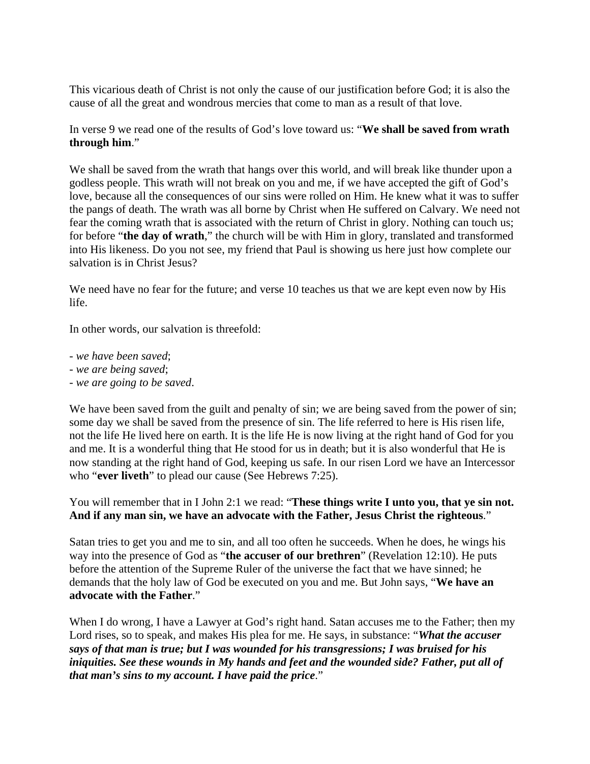This vicarious death of Christ is not only the cause of our justification before God; it is also the cause of all the great and wondrous mercies that come to man as a result of that love.

In verse 9 we read one of the results of God's love toward us: "**We shall be saved from wrath through him**."

We shall be saved from the wrath that hangs over this world, and will break like thunder upon a godless people. This wrath will not break on you and me, if we have accepted the gift of God's love, because all the consequences of our sins were rolled on Him. He knew what it was to suffer the pangs of death. The wrath was all borne by Christ when He suffered on Calvary. We need not fear the coming wrath that is associated with the return of Christ in glory. Nothing can touch us; for before "**the day of wrath**," the church will be with Him in glory, translated and transformed into His likeness. Do you not see, my friend that Paul is showing us here just how complete our salvation is in Christ Jesus?

We need have no fear for the future; and verse 10 teaches us that we are kept even now by His life.

In other words, our salvation is threefold:

- *we have been saved*;
- *we are being saved*;
- *we are going to be saved*.

We have been saved from the guilt and penalty of sin; we are being saved from the power of sin; some day we shall be saved from the presence of sin. The life referred to here is His risen life, not the life He lived here on earth. It is the life He is now living at the right hand of God for you and me. It is a wonderful thing that He stood for us in death; but it is also wonderful that He is now standing at the right hand of God, keeping us safe. In our risen Lord we have an Intercessor who "**ever liveth**" to plead our cause (See Hebrews 7:25).

## You will remember that in I John 2:1 we read: "**These things write I unto you, that ye sin not. And if any man sin, we have an advocate with the Father, Jesus Christ the righteous**."

Satan tries to get you and me to sin, and all too often he succeeds. When he does, he wings his way into the presence of God as "**the accuser of our brethren**" (Revelation 12:10). He puts before the attention of the Supreme Ruler of the universe the fact that we have sinned; he demands that the holy law of God be executed on you and me. But John says, "**We have an advocate with the Father**."

When I do wrong, I have a Lawyer at God's right hand. Satan accuses me to the Father; then my Lord rises, so to speak, and makes His plea for me. He says, in substance: "*What the accuser says of that man is true; but I was wounded for his transgressions; I was bruised for his iniquities. See these wounds in My hands and feet and the wounded side? Father, put all of that man's sins to my account. I have paid the price*."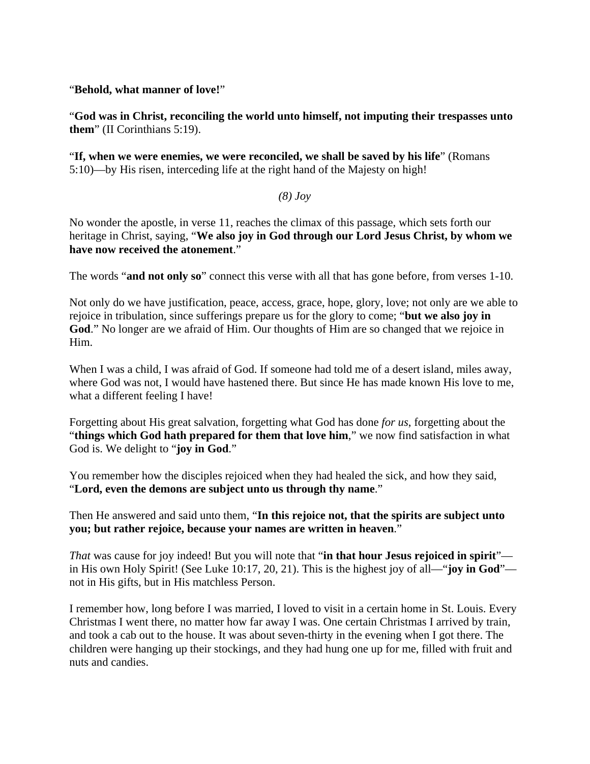## "**Behold, what manner of love!**"

"**God was in Christ, reconciling the world unto himself, not imputing their trespasses unto them**" (II Corinthians 5:19).

"**If, when we were enemies, we were reconciled, we shall be saved by his life**" (Romans 5:10)—by His risen, interceding life at the right hand of the Majesty on high!

## *(8) Joy*

No wonder the apostle, in verse 11, reaches the climax of this passage, which sets forth our heritage in Christ, saying, "**We also joy in God through our Lord Jesus Christ, by whom we have now received the atonement**."

The words "**and not only so**" connect this verse with all that has gone before, from verses 1-10.

Not only do we have justification, peace, access, grace, hope, glory, love; not only are we able to rejoice in tribulation, since sufferings prepare us for the glory to come; "**but we also joy in God**." No longer are we afraid of Him. Our thoughts of Him are so changed that we rejoice in Him.

When I was a child, I was afraid of God. If someone had told me of a desert island, miles away, where God was not, I would have hastened there. But since He has made known His love to me, what a different feeling I have!

Forgetting about His great salvation, forgetting what God has done *for us*, forgetting about the "**things which God hath prepared for them that love him**," we now find satisfaction in what God is. We delight to "**joy in God**."

You remember how the disciples rejoiced when they had healed the sick, and how they said, "**Lord, even the demons are subject unto us through thy name**."

Then He answered and said unto them, "**In this rejoice not, that the spirits are subject unto you; but rather rejoice, because your names are written in heaven**."

*That* was cause for joy indeed! But you will note that "**in that hour Jesus rejoiced in spirit**" in His own Holy Spirit! (See Luke 10:17, 20, 21). This is the highest joy of all—"**joy in God**" not in His gifts, but in His matchless Person.

I remember how, long before I was married, I loved to visit in a certain home in St. Louis. Every Christmas I went there, no matter how far away I was. One certain Christmas I arrived by train, and took a cab out to the house. It was about seven-thirty in the evening when I got there. The children were hanging up their stockings, and they had hung one up for me, filled with fruit and nuts and candies.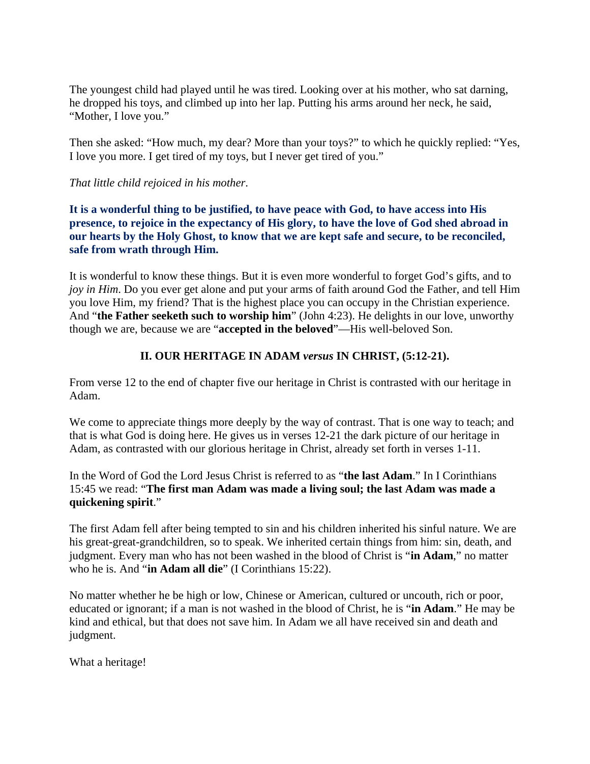The youngest child had played until he was tired. Looking over at his mother, who sat darning, he dropped his toys, and climbed up into her lap. Putting his arms around her neck, he said, "Mother, I love you."

Then she asked: "How much, my dear? More than your toys?" to which he quickly replied: "Yes, I love you more. I get tired of my toys, but I never get tired of you."

#### *That little child rejoiced in his mother*.

**It is a wonderful thing to be justified, to have peace with God, to have access into His presence, to rejoice in the expectancy of His glory, to have the love of God shed abroad in our hearts by the Holy Ghost, to know that we are kept safe and secure, to be reconciled, safe from wrath through Him.**

It is wonderful to know these things. But it is even more wonderful to forget God's gifts, and to *joy in Him*. Do you ever get alone and put your arms of faith around God the Father, and tell Him you love Him, my friend? That is the highest place you can occupy in the Christian experience. And "**the Father seeketh such to worship him**" (John 4:23). He delights in our love, unworthy though we are, because we are "**accepted in the beloved**"—His well-beloved Son.

## **II. OUR HERITAGE IN ADAM** *versus* **IN CHRIST, (5:12-21).**

From verse 12 to the end of chapter five our heritage in Christ is contrasted with our heritage in Adam.

We come to appreciate things more deeply by the way of contrast. That is one way to teach; and that is what God is doing here. He gives us in verses 12-21 the dark picture of our heritage in Adam, as contrasted with our glorious heritage in Christ, already set forth in verses 1-11.

In the Word of God the Lord Jesus Christ is referred to as "**the last Adam**." In I Corinthians 15:45 we read: "**The first man Adam was made a living soul; the last Adam was made a quickening spirit**."

The first Adam fell after being tempted to sin and his children inherited his sinful nature. We are his great-great-grandchildren, so to speak. We inherited certain things from him: sin, death, and judgment. Every man who has not been washed in the blood of Christ is "**in Adam**," no matter who he is. And "**in Adam all die**" (I Corinthians 15:22).

No matter whether he be high or low, Chinese or American, cultured or uncouth, rich or poor, educated or ignorant; if a man is not washed in the blood of Christ, he is "**in Adam**." He may be kind and ethical, but that does not save him. In Adam we all have received sin and death and judgment.

What a heritage!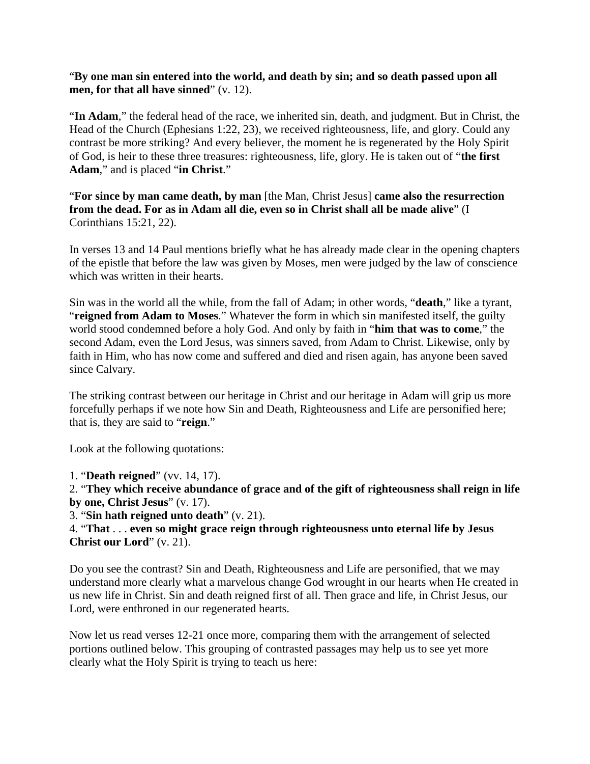"**By one man sin entered into the world, and death by sin; and so death passed upon all men, for that all have sinned**" (v. 12).

"**In Adam**," the federal head of the race, we inherited sin, death, and judgment. But in Christ, the Head of the Church (Ephesians 1:22, 23), we received righteousness, life, and glory. Could any contrast be more striking? And every believer, the moment he is regenerated by the Holy Spirit of God, is heir to these three treasures: righteousness, life, glory. He is taken out of "**the first Adam**," and is placed "**in Christ**."

"**For since by man came death, by man** [the Man, Christ Jesus] **came also the resurrection from the dead. For as in Adam all die, even so in Christ shall all be made alive**" (I Corinthians 15:21, 22).

In verses 13 and 14 Paul mentions briefly what he has already made clear in the opening chapters of the epistle that before the law was given by Moses, men were judged by the law of conscience which was written in their hearts.

Sin was in the world all the while, from the fall of Adam; in other words, "**death**," like a tyrant, "**reigned from Adam to Moses**." Whatever the form in which sin manifested itself, the guilty world stood condemned before a holy God. And only by faith in "**him that was to come**," the second Adam, even the Lord Jesus, was sinners saved, from Adam to Christ. Likewise, only by faith in Him, who has now come and suffered and died and risen again, has anyone been saved since Calvary.

The striking contrast between our heritage in Christ and our heritage in Adam will grip us more forcefully perhaps if we note how Sin and Death, Righteousness and Life are personified here; that is, they are said to "**reign**."

Look at the following quotations:

1. "**Death reigned**" (vv. 14, 17).

2. "**They which receive abundance of grace and of the gift of righteousness shall reign in life by one, Christ Jesus**" (v. 17).

3. "**Sin hath reigned unto death**" (v. 21).

4. "**That** . . . **even so might grace reign through righteousness unto eternal life by Jesus Christ our Lord**" (v. 21).

Do you see the contrast? Sin and Death, Righteousness and Life are personified, that we may understand more clearly what a marvelous change God wrought in our hearts when He created in us new life in Christ. Sin and death reigned first of all. Then grace and life, in Christ Jesus, our Lord, were enthroned in our regenerated hearts.

Now let us read verses 12-21 once more, comparing them with the arrangement of selected portions outlined below. This grouping of contrasted passages may help us to see yet more clearly what the Holy Spirit is trying to teach us here: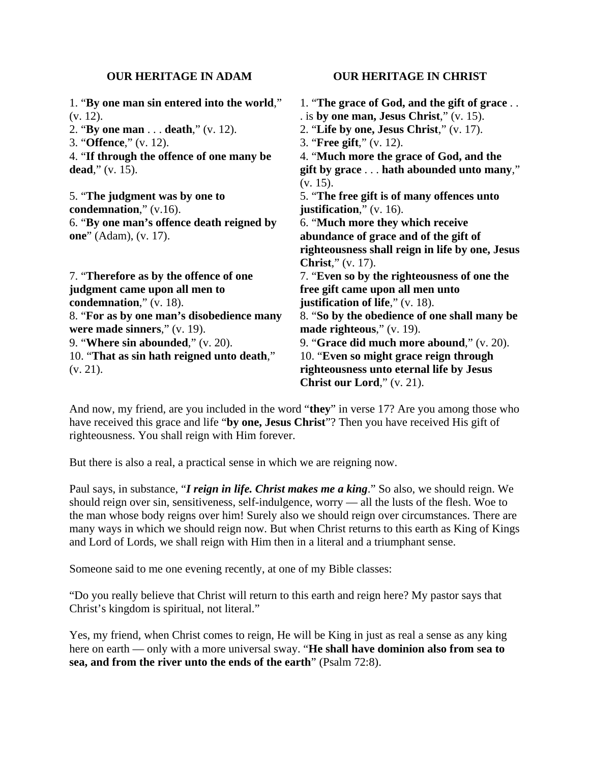#### **OUR HERITAGE IN ADAM**

1. "**By one man sin entered into the world**," (v. 12).

2. "**By one man** . . . **death**," (v. 12).

3. "**Offence**," (v. 12).

4. "**If through the offence of one many be dead**," (v. 15).

5. "**The judgment was by one to condemnation**," (v.16). 6. "**By one man's offence death reigned by one**" (Adam), (v. 17).

7. "**Therefore as by the offence of one judgment came upon all men to condemnation**," (v. 18). 8. "**For as by one man's disobedience many were made sinners**," (v. 19). 9. "**Where sin abounded**," (v. 20). 10. "**That as sin hath reigned unto death**," (v. 21).

#### **OUR HERITAGE IN CHRIST**

1. "**The grace of God, and the gift of grace** . . . is **by one man, Jesus Christ**," (v. 15). 2. "**Life by one, Jesus Christ**," (v. 17). 3. "**Free gift**," (v. 12). 4. "**Much more the grace of God, and the gift by grace** . . . **hath abounded unto many**," (v. 15). 5. "**The free gift is of many offences unto justification**," (v. 16). 6. "**Much more they which receive abundance of grace and of the gift of righteousness shall reign in life by one, Jesus Christ**," (v. 17). 7. "**Even so by the righteousness of one the free gift came upon all men unto justification of life**," (v. 18). 8. "**So by the obedience of one shall many be made righteous**," (v. 19). 9. "**Grace did much more abound**," (v. 20). 10. "**Even so might grace reign through righteousness unto eternal life by Jesus Christ our Lord**," (v. 21).

And now, my friend, are you included in the word "**they**" in verse 17? Are you among those who have received this grace and life "**by one, Jesus Christ**"? Then you have received His gift of righteousness. You shall reign with Him forever.

But there is also a real, a practical sense in which we are reigning now.

Paul says, in substance, "*I reign in life. Christ makes me a king*." So also, we should reign. We should reign over sin, sensitiveness, self-indulgence, worry — all the lusts of the flesh. Woe to the man whose body reigns over him! Surely also we should reign over circumstances. There are many ways in which we should reign now. But when Christ returns to this earth as King of Kings and Lord of Lords, we shall reign with Him then in a literal and a triumphant sense.

Someone said to me one evening recently, at one of my Bible classes:

"Do you really believe that Christ will return to this earth and reign here? My pastor says that Christ's kingdom is spiritual, not literal."

Yes, my friend, when Christ comes to reign, He will be King in just as real a sense as any king here on earth — only with a more universal sway. "**He shall have dominion also from sea to sea, and from the river unto the ends of the earth**" (Psalm 72:8).